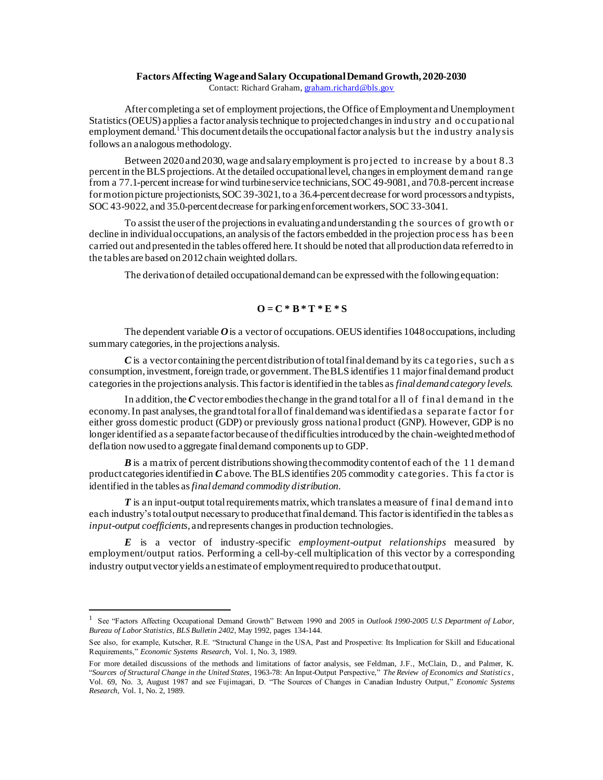## **Factors Affecting Wage and Salary Occupational Demand Growth, 2020-2030**

Contact: Richard Graham, [graham.richard@bls.gov](mailto:graham.richard@bls.gov)

After completing a set of employment projections, the Office of Employment and Unemployment Statistics (OEUS) applies a factor analysis technique to projected changes in industry and occupational employment demand.<sup>1</sup> This document details the occupational factor analysis but the industry analysis follows an analogous methodology.

Between 2020and 2030, wage and salary employment is projected to increase by a bout 8.3 percent in the BLS projections. At the detailed occupational level, changes in employment demand range from a 77.1-percent increase for wind turbine service technicians, SOC 49-9081, and 70.8-percent increase for motion picture projectionists, SOC 39-3021, to a 36.4-percent decrease for word processors and typists, SOC 43-9022, and 35.0-percent decrease for parking enforcement workers, SOC 33-3041.

To assist the user of the projections in evaluating and understanding the sources of growth or decline in individual occupations, an analysis of the factors embedded in the projection process has been carried out and presented in the tables offered here. It should be noted that all production data referred to in the tables are based on 2012chain weighted dollars.

The derivation of detailed occupational demand can be expressed with the following equation:

## $Q = C * B * T * E * S$

The dependent variable O is a vector of occupations. OEUS identifies 1048 occupations, including summary categories, in the projections analysis.

*C* is a vector containing the percent distribution of total final demand by its ca tegories, such a s consumption, investment, foreign trade, or government. The BLS identifies 11 major final demand product categories in the projections analysis. This factor is identified in the tables as *final demand category levels*.

In addition, the *C* vector embodies the change in the grand total for a ll of f inal demand in the economy. In past analyses, the grand total for all of final demand was identified as a separate factor for either gross domestic product (GDP) or previously gross national product (GNP). However, GDP is no longer identified as a separate factor because of the difficulties introduced by the chain-weighted method of deflation now used to aggregate final demand components up to GDP.

*B* is a matrix of percent distributions showing the commodity content of each of the 11 demand product categories identified in *C* above. The BLS identifies 205 commodity categories. This factor is identified in the tables as *final demand commodity distribution*.

*T* is an input-output total requirements matrix, which translates a measure of f inal demand into each industry's total output necessary to produce that final demand. This factor is identified in the tables as *input-output coefficients*, and represents changes in production technologies.

*E* is a vector of industry-specific *employment-output relationships* measured by employment/output ratios. Performing a cell-by-cell multiplication of this vector by a corresponding industry output vector yields an estimate of employment required to produce that output.

<sup>1</sup> See "Factors Affecting Occupational Demand Growth" Between 1990 and 2005 in *Outlook 1990-2005 U.S Department of Labor, Bureau of Labor Statistics, BLS Bulletin 2402*, May 1992, pages 134-144.

See also, for example, Kutscher, R.E. "Structural Change in the USA, Past and Prospective: Its Implication for Skill and Educational Requirements," *Economic Systems Research*, Vol. 1, No. 3, 1989.

For more detailed discussions of the methods and limitations of factor analysis, see Feldman, J.F., McClain, D., and Palmer, K. "*Sources of Structural Change in the United States,* 1963-78: An Input-Output Perspective," *The Review of Economics and Statistics*, Vol. 69, No. 3, August 1987 and see Fujimagari, D. "The Sources of Changes in Canadian Industry Output," *Economic Systems Research*, Vol. 1, No. 2, 1989.